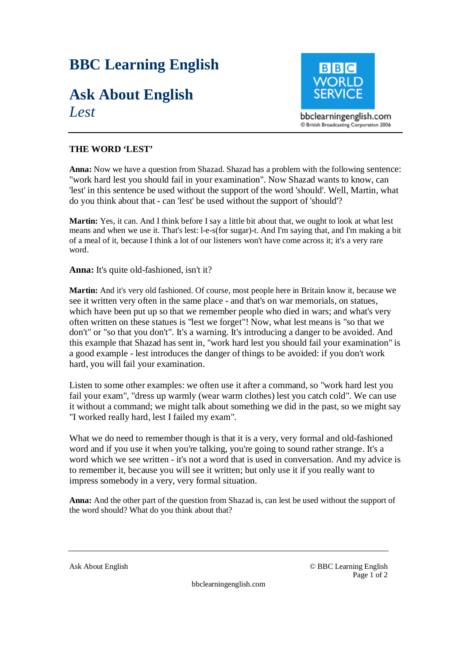## **BBC Learning English**

## **Ask About English**  *Lest*



bbclearningenglish.com C British Broadcasting Corporation 2006

## **THE WORD 'LEST'**

**Anna:** Now we have a question from Shazad. Shazad has a problem with the following sentence: "work hard lest you should fail in your examination". Now Shazad wants to know, can 'lest' in this sentence be used without the support of the word 'should'. Well, Martin, what do you think about that - can 'lest' be used without the support of 'should'?

**Martin:** Yes, it can. And I think before I say a little bit about that, we ought to look at what lest means and when we use it. That's lest: l-e-s(for sugar)-t. And I'm saying that, and I'm making a bit of a meal of it, because I think a lot of our listeners won't have come across it; it's a very rare word.

**Anna:** It's quite old-fashioned, isn't it?

**Martin:** And it's very old fashioned. Of course, most people here in Britain know it, because we see it written very often in the same place - and that's on war memorials, on statues, which have been put up so that we remember people who died in wars; and what's very often written on these statues is "lest we forget"! Now, what lest means is "so that we don't" or "so that you don't". It's a warning. It's introducing a danger to be avoided. And this example that Shazad has sent in, "work hard lest you should fail your examination" is a good example - lest introduces the danger of things to be avoided: if you don't work hard, you will fail your examination.

Listen to some other examples: we often use it after a command, so "work hard lest you fail your exam", "dress up warmly (wear warm clothes) lest you catch cold". We can use it without a command; we might talk about something we did in the past, so we might say "I worked really hard, lest I failed my exam".

What we do need to remember though is that it is a very, very formal and old-fashioned word and if you use it when you're talking, you're going to sound rather strange. It's a word which we see written - it's not a word that is used in conversation. And my advice is to remember it, because you will see it written; but only use it if you really want to impress somebody in a very, very formal situation.

**Anna:** And the other part of the question from Shazad is, can lest be used without the support of the word should? What do you think about that?

Ask About English © BBC Learning English Page 1 of 2

bbclearningenglish.com